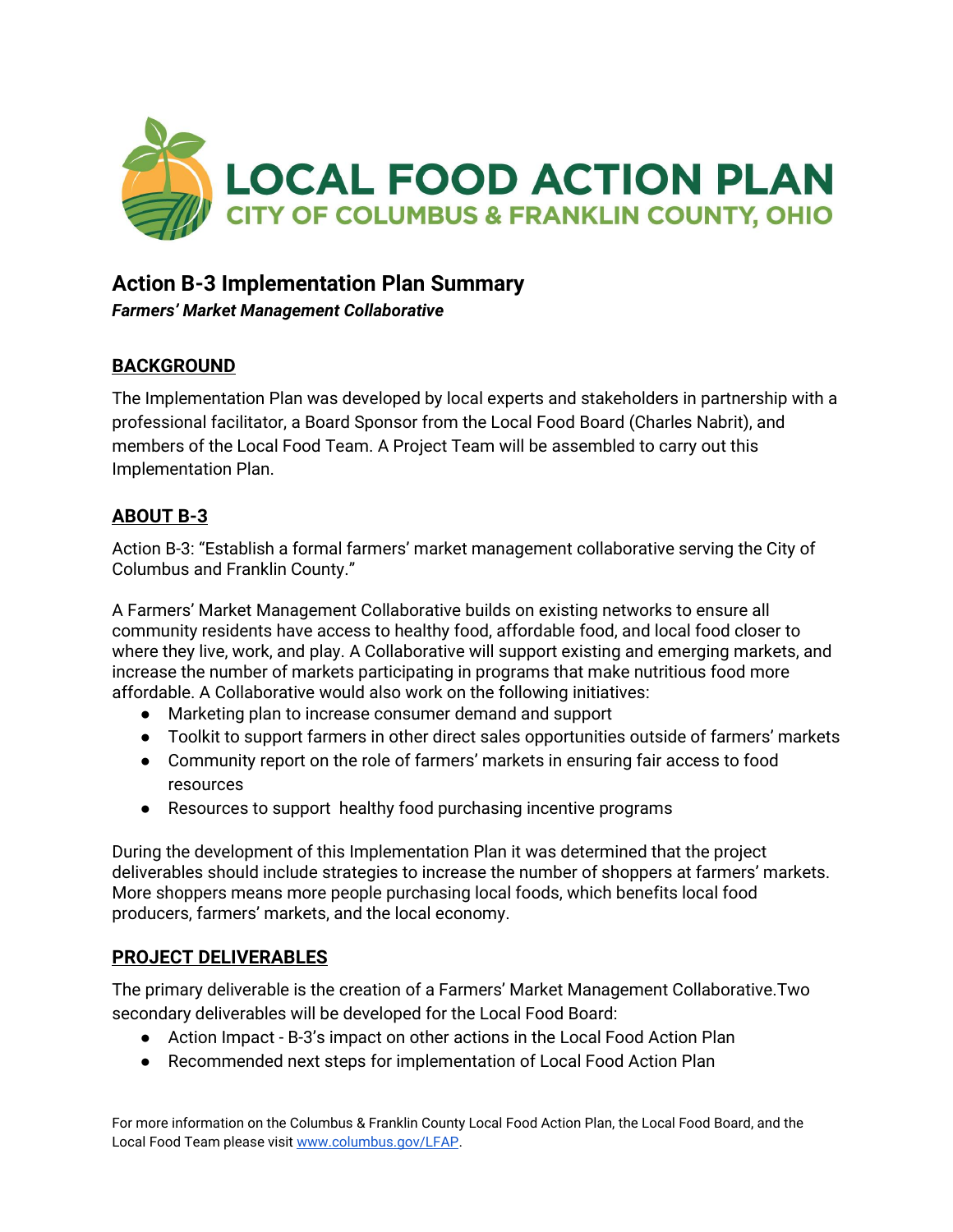

# **Action B-3 Implementation Plan Summary**

*Farmers' Market Management Collaborative*

## **BACKGROUND**

The Implementation Plan was developed by local experts and stakeholders in partnership with a professional facilitator, a Board Sponsor from the Local Food Board (Charles Nabrit), and members of the Local Food Team. A Project Team will be assembled to carry out this Implementation Plan.

## **ABOUT B-3**

Action B-3: "Establish a formal farmers' market management collaborative serving the City of Columbus and Franklin County."

A Farmers' Market Management Collaborative builds on existing networks to ensure all community residents have access to healthy food, affordable food, and local food closer to where they live, work, and play. A Collaborative will support existing and emerging markets, and increase the number of markets participating in programs that make nutritious food more affordable. A Collaborative would also work on the following initiatives:

- Marketing plan to increase consumer demand and support
- Toolkit to support farmers in other direct sales opportunities outside of farmers' markets
- Community report on the role of farmers' markets in ensuring fair access to food resources
- Resources to support healthy food purchasing incentive programs

During the development of this Implementation Plan it was determined that the project deliverables should include strategies to increase the number of shoppers at farmers' markets. More shoppers means more people purchasing local foods, which benefits local food producers, farmers' markets, and the local economy.

#### **PROJECT DELIVERABLES**

The primary deliverable is the creation of a Farmers' Market Management Collaborative.Two secondary deliverables will be developed for the Local Food Board:

- Action Impact B-3's impact on other actions in the Local Food Action Plan
- Recommended next steps for implementation of Local Food Action Plan

For more information on the Columbus & Franklin County Local Food Action Plan, the Local Food Board, and the Local Food Team please visit [www.columbus.gov/LFAP.](http://www.columbus.gov/LFAP)